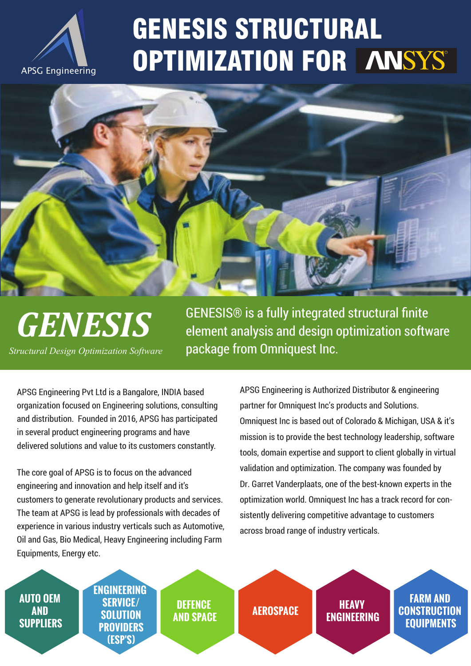APSG Engineering Pvt Ltd is a Bangalore, INDIA based organization focused on Engineering solutions, consulting and distribution. Founded in 2016, APSG has participated in several product engineering programs and have delivered solutions and value to its customers constantly.

## GENESIS STRUCTURAL OPTIMIZATION FOR ANSYS



The core goal of APSG is to focus on the advanced engineering and innovation and help itself and it's customers to generate revolutionary products and services. The team at APSG is lead by professionals with decades of experience in various industry verticals such as Automotive, Oil and Gas, Bio Medical, Heavy Engineering including Farm Equipments, Energy etc.

APSG Engineering



GENESIS® is a fully integrated structural finite element analysis and design optimization software package from Omniquest Inc.

# *GENESIS*

*Structural Design Optimization Software*

APSG Engineering is Authorized Distributor & engineering partner for Omniquest Inc's products and Solutions. Omniquest Inc is based out of Colorado & Michigan, USA & it's mission is to provide the best technology leadership, software tools, domain expertise and support to client globally in virtual validation and optimization. The company was founded by Dr. Garret Vanderplaats, one of the best-known experts in the optimization world. Omniquest Inc has a track record for consistently delivering competitive advantage to customers across broad range of industry verticals.